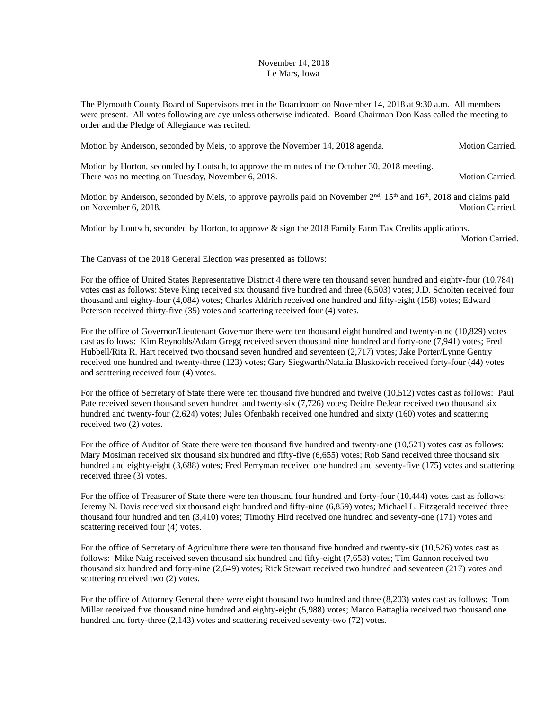## November 14, 2018 Le Mars, Iowa

The Plymouth County Board of Supervisors met in the Boardroom on November 14, 2018 at 9:30 a.m. All members were present. All votes following are aye unless otherwise indicated. Board Chairman Don Kass called the meeting to order and the Pledge of Allegiance was recited.

Motion by Anderson, seconded by Meis, to approve the November 14, 2018 agenda. Motion Carried.

Motion by Horton, seconded by Loutsch, to approve the minutes of the October 30, 2018 meeting. There was no meeting on Tuesday, November 6, 2018. Motion Carried. Motion Carried.

Motion by Anderson, seconded by Meis, to approve payrolls paid on November  $2<sup>nd</sup>$ ,  $15<sup>th</sup>$  and  $16<sup>th</sup>$ , 2018 and claims paid on November 6, 2018. Motion Carried.

Motion by Loutsch, seconded by Horton, to approve & sign the 2018 Family Farm Tax Credits applications.

Motion Carried.

The Canvass of the 2018 General Election was presented as follows:

For the office of United States Representative District 4 there were ten thousand seven hundred and eighty-four (10,784) votes cast as follows: Steve King received six thousand five hundred and three (6,503) votes; J.D. Scholten received four thousand and eighty-four (4,084) votes; Charles Aldrich received one hundred and fifty-eight (158) votes; Edward Peterson received thirty-five (35) votes and scattering received four (4) votes.

For the office of Governor/Lieutenant Governor there were ten thousand eight hundred and twenty-nine (10,829) votes cast as follows: Kim Reynolds/Adam Gregg received seven thousand nine hundred and forty-one (7,941) votes; Fred Hubbell/Rita R. Hart received two thousand seven hundred and seventeen (2,717) votes; Jake Porter/Lynne Gentry received one hundred and twenty-three (123) votes; Gary Siegwarth/Natalia Blaskovich received forty-four (44) votes and scattering received four (4) votes.

For the office of Secretary of State there were ten thousand five hundred and twelve (10,512) votes cast as follows: Paul Pate received seven thousand seven hundred and twenty-six (7,726) votes; Deidre DeJear received two thousand six hundred and twenty-four (2,624) votes; Jules Ofenbakh received one hundred and sixty (160) votes and scattering received two (2) votes.

For the office of Auditor of State there were ten thousand five hundred and twenty-one (10,521) votes cast as follows: Mary Mosiman received six thousand six hundred and fifty-five (6,655) votes; Rob Sand received three thousand six hundred and eighty-eight (3,688) votes; Fred Perryman received one hundred and seventy-five (175) votes and scattering received three (3) votes.

For the office of Treasurer of State there were ten thousand four hundred and forty-four (10,444) votes cast as follows: Jeremy N. Davis received six thousand eight hundred and fifty-nine (6,859) votes; Michael L. Fitzgerald received three thousand four hundred and ten (3,410) votes; Timothy Hird received one hundred and seventy-one (171) votes and scattering received four (4) votes.

For the office of Secretary of Agriculture there were ten thousand five hundred and twenty-six (10,526) votes cast as follows: Mike Naig received seven thousand six hundred and fifty-eight (7,658) votes; Tim Gannon received two thousand six hundred and forty-nine (2,649) votes; Rick Stewart received two hundred and seventeen (217) votes and scattering received two (2) votes.

For the office of Attorney General there were eight thousand two hundred and three (8,203) votes cast as follows: Tom Miller received five thousand nine hundred and eighty-eight (5,988) votes; Marco Battaglia received two thousand one hundred and forty-three (2,143) votes and scattering received seventy-two (72) votes.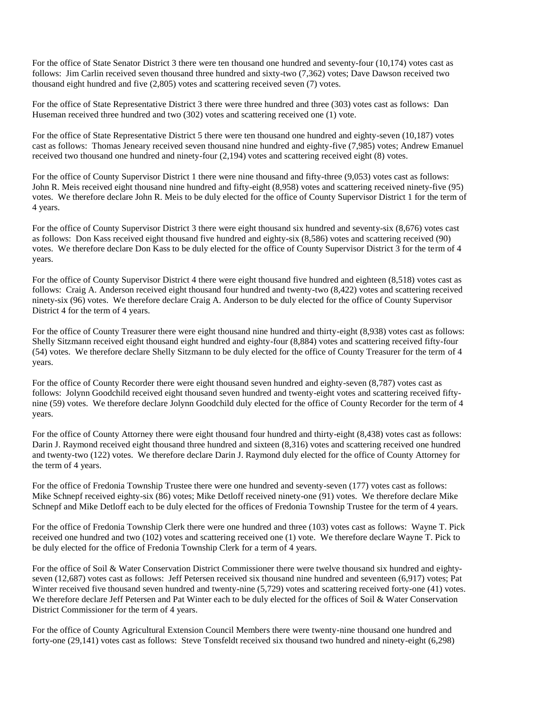For the office of State Senator District 3 there were ten thousand one hundred and seventy-four (10,174) votes cast as follows: Jim Carlin received seven thousand three hundred and sixty-two (7,362) votes; Dave Dawson received two thousand eight hundred and five (2,805) votes and scattering received seven (7) votes.

For the office of State Representative District 3 there were three hundred and three (303) votes cast as follows: Dan Huseman received three hundred and two (302) votes and scattering received one (1) vote.

For the office of State Representative District 5 there were ten thousand one hundred and eighty-seven (10,187) votes cast as follows: Thomas Jeneary received seven thousand nine hundred and eighty-five (7,985) votes; Andrew Emanuel received two thousand one hundred and ninety-four (2,194) votes and scattering received eight (8) votes.

For the office of County Supervisor District 1 there were nine thousand and fifty-three (9,053) votes cast as follows: John R. Meis received eight thousand nine hundred and fifty-eight (8,958) votes and scattering received ninety-five (95) votes. We therefore declare John R. Meis to be duly elected for the office of County Supervisor District 1 for the term of 4 years.

For the office of County Supervisor District 3 there were eight thousand six hundred and seventy-six (8,676) votes cast as follows: Don Kass received eight thousand five hundred and eighty-six (8,586) votes and scattering received (90) votes. We therefore declare Don Kass to be duly elected for the office of County Supervisor District 3 for the term of 4 years.

For the office of County Supervisor District 4 there were eight thousand five hundred and eighteen (8,518) votes cast as follows: Craig A. Anderson received eight thousand four hundred and twenty-two (8,422) votes and scattering received ninety-six (96) votes. We therefore declare Craig A. Anderson to be duly elected for the office of County Supervisor District 4 for the term of 4 years.

For the office of County Treasurer there were eight thousand nine hundred and thirty-eight (8,938) votes cast as follows: Shelly Sitzmann received eight thousand eight hundred and eighty-four (8,884) votes and scattering received fifty-four (54) votes. We therefore declare Shelly Sitzmann to be duly elected for the office of County Treasurer for the term of 4 years.

For the office of County Recorder there were eight thousand seven hundred and eighty-seven (8,787) votes cast as follows: Jolynn Goodchild received eight thousand seven hundred and twenty-eight votes and scattering received fiftynine (59) votes. We therefore declare Jolynn Goodchild duly elected for the office of County Recorder for the term of 4 years.

For the office of County Attorney there were eight thousand four hundred and thirty-eight (8,438) votes cast as follows: Darin J. Raymond received eight thousand three hundred and sixteen (8,316) votes and scattering received one hundred and twenty-two (122) votes. We therefore declare Darin J. Raymond duly elected for the office of County Attorney for the term of 4 years.

For the office of Fredonia Township Trustee there were one hundred and seventy-seven (177) votes cast as follows: Mike Schnepf received eighty-six (86) votes; Mike Detloff received ninety-one (91) votes. We therefore declare Mike Schnepf and Mike Detloff each to be duly elected for the offices of Fredonia Township Trustee for the term of 4 years.

For the office of Fredonia Township Clerk there were one hundred and three (103) votes cast as follows: Wayne T. Pick received one hundred and two (102) votes and scattering received one (1) vote. We therefore declare Wayne T. Pick to be duly elected for the office of Fredonia Township Clerk for a term of 4 years.

For the office of Soil & Water Conservation District Commissioner there were twelve thousand six hundred and eightyseven (12,687) votes cast as follows: Jeff Petersen received six thousand nine hundred and seventeen (6,917) votes; Pat Winter received five thousand seven hundred and twenty-nine (5,729) votes and scattering received forty-one (41) votes. We therefore declare Jeff Petersen and Pat Winter each to be duly elected for the offices of Soil & Water Conservation District Commissioner for the term of 4 years.

For the office of County Agricultural Extension Council Members there were twenty-nine thousand one hundred and forty-one (29,141) votes cast as follows: Steve Tonsfeldt received six thousand two hundred and ninety-eight (6,298)